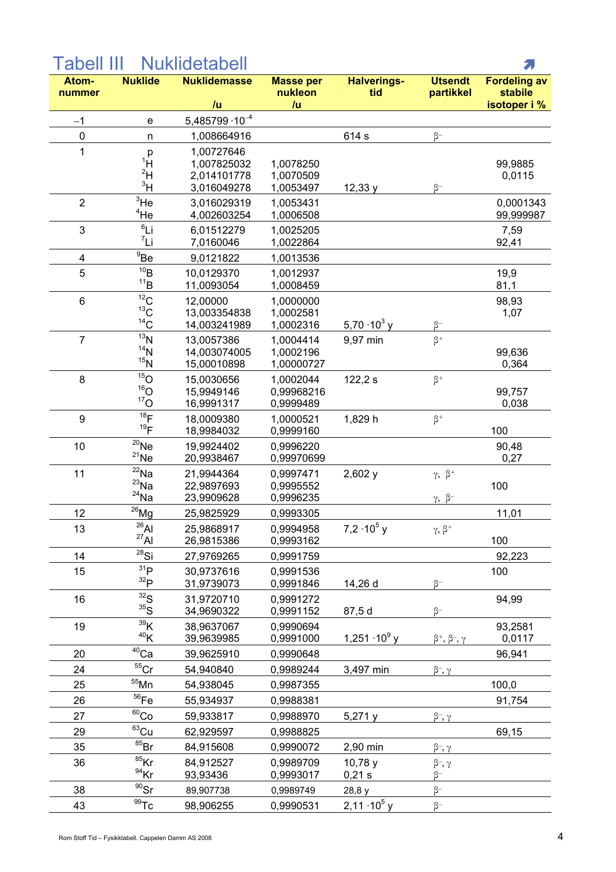## 2. **Nuklide Nuklidemasse** Atom-**Masse per Halverings-Utsendt Fordeling av** nummer nukleon tid partikkel stabile  $/u$  $/u$ isotoper i %  $-1$  $5.485799 \cdot 10^{-4}$  $\mathbf{e}$  $\Omega$  $\overline{p}$ 1.008664916 614 s  $\beta$ - $\overline{1}$ 1.00727646  $\mathsf{p}$  $1_H$ 99,9885 1,007825032 1,0078250  $2H$ 1,0070509 0,0115 2,014101778  $3H$ 3.016049278 1.0053497 12.33 v  $\beta$ - $\overline{2}$  $3$ He 0,0001343 3,016029319 1,0053431  $4$ He 4.002603254 1,0006508 99.999987  $6$ Li 3 6.01512279 1,0025205 7,59  $7$ Ii 7,0160046 1,0022864 92,41  $^9$ Be  $\overline{4}$ 9,0121822 1,0013536  $10B$ 5 10.0129370 19.9 1.0012937  $11_B$  $81,1$ 11.0093054 1.0008459  $\overline{12}_{\text{C}}$  $6\phantom{a}$ 98.93 12.00000 1.0000000  $13<sub>C</sub>$ 1.0002581 13,003354838 1,07  $^{14}$ C 5,70 $\cdot$ 10 $^{3}$  v 14,003241989 1,0002316  $\beta$ - $\overline{^{13}N}$  $\overline{7}$  $\beta^+$ 13.0057386 1.0004414 9.97 min  $14<sub>N</sub>$ 99.636 14.003074005 1.0002196  $15\overset{.}{N}$ 15,00010898 1,00000727 0,364  $15$ O  $\beta^+$ 8 15,0030656 1,0002044  $122,2 s$  $16<sub>O</sub>$ 15,9949146 0.99968216 99,757  $17<sub>O</sub>$ 16.9991317 0.9999489 0.038  $18<sub>F</sub>$ 9 18.0009380 1.0000521 1,829 h  $\beta^+$  $19<sub>F</sub>$ 100 18,9984032 0,9999160  $20$ <sub>Ne</sub> 10 19,9924402 0.9996220 90,48  $^{21}$ Ne 20,9938467 0,99970699  $0,27$  $^{22}$ Na  $2,602v$  $\gamma$ ,  $\beta^+$  $11$ 21.9944364 0.9997471  $^{23}$ Na 22.9897693 0.9995552 100  $^{24}$ Na 23,9909628 0,9996235  $\gamma$ ,  $\beta$  $^{26}$ Mg  $12$ 25,9825929 0.9993305 11,01  $^{26}$ Al  $7.2 \cdot 10^5$  v  $\gamma, \beta^+$  $13$ 25.9868917 0.9994958  $27\overline{Al}$ 100 26,9815386 0.9993162  $\overline{^{28}}$ Si  $14$ 92,223 27,9769265 0,9991759  $31p$ 15 100 30,9737616 0,9991536  $32<sub>D</sub>$ 31,9739073 0,9991846 14,26 d  $\beta$ - $32<sub>S</sub>$ 31.9720710 0.9991272 94.99 16  $35\overline{\text{S}}$ 87,5 d  $\beta$ -34,9690322 0,9991152  $39K$ 93,2581 19 38,9637067 0,9990694  $40<sub>K</sub>$  $1,251 \cdot 10^9$  v  $\beta^+, \beta^-, \gamma$ 39,9639985 0,9991000 0,0117  $40$ Ca 20 96.941 39,9625910 0,9990648  $55$ Cr 24  $\beta^-$ ,  $\gamma$ 54,940840 0,9989244 3,497 min  $55$ Mn 25 100,0 54,938045 0,9987355  $56$ Fe 26 91.754 55,934937 0.9988381  $60<sub>Co</sub>$ 27  $\beta^-$ ,  $\gamma$ 59,933817 0,9988970  $5,271y$  ${}^{63}$ Cu 29 69,15 62,929597 0.9988825  $85Br$ 35 84,915608 0.9990072 2,90 min  $\beta^{-}, \gamma$  $85$ Kr 36 84,912527 10,78 y  $\beta^-$ ,  $\gamma$ 0.9989709  $\frac{94}{5}$ Kr  $0,21 s$  $\beta^-$ 93,93436 0,9993017  $90$ Sr 38  $\beta$ -89,907738 0.9989749 28,8 v  $\frac{1}{100}$

 $2,11 \cdot 10^5$  y

0,9990531

 $\beta^-$ 

## **Nuklidetabell** Tabell III

98,906255

43